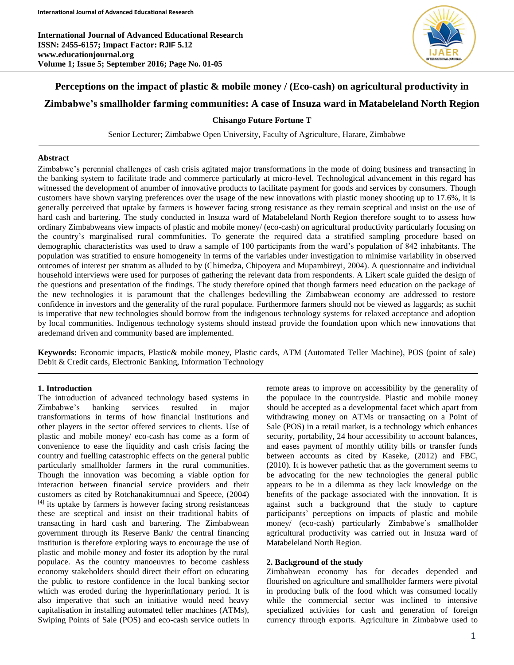**International Journal of Advanced Educational Research ISSN: 2455-6157; Impact Factor: RJIF 5.12 www.educationjournal.org Volume 1; Issue 5; September 2016; Page No. 01-05**



# **Perceptions on the impact of plastic & mobile money / (Eco-cash) on agricultural productivity in Zimbabwe's smallholder farming communities: A case of Insuza ward in Matabeleland North Region**

## **Chisango Future Fortune T**

Senior Lecturer; Zimbabwe Open University, Faculty of Agriculture, Harare, Zimbabwe

### **Abstract**

Zimbabwe's perennial challenges of cash crisis agitated major transformations in the mode of doing business and transacting in the banking system to facilitate trade and commerce particularly at micro-level. Technological advancement in this regard has witnessed the development of anumber of innovative products to facilitate payment for goods and services by consumers. Though customers have shown varying preferences over the usage of the new innovations with plastic money shooting up to 17.6%, it is generally perceived that uptake by farmers is however facing strong resistance as they remain sceptical and insist on the use of hard cash and bartering. The study conducted in Insuza ward of Matabeleland North Region therefore sought to to assess how ordinary Zimbabweans view impacts of plastic and mobile money/ (eco-cash) on agricultural productivity particularly focusing on the country's marginalised rural commfunities. To generate the required data a stratified sampling procedure based on demographic characteristics was used to draw a sample of 100 participants from the ward's population of 842 inhabitants. The population was stratified to ensure homogeneity in terms of the variables under investigation to minimise variability in observed outcomes of interest per stratum as alluded to by (Chimedza, Chipoyera and Mupambireyi, 2004). A questionnaire and individual household interviews were used for purposes of gathering the relevant data from respondents. A Likert scale guided the design of the questions and presentation of the findings. The study therefore opined that though farmers need education on the package of the new technologies it is paramount that the challenges bedevilling the Zimbabwean economy are addressed to restore confidence in investors and the generality of the rural populace. Furthermore farmers should not be viewed as laggards; as suchit is imperative that new technologies should borrow from the indigenous technology systems for relaxed acceptance and adoption by local communities. Indigenous technology systems should instead provide the foundation upon which new innovations that aredemand driven and community based are implemented.

**Keywords:** Economic impacts, Plastic& mobile money, Plastic cards, ATM (Automated Teller Machine), POS (point of sale) Debit & Credit cards, Electronic Banking, Information Technology

## **1. Introduction**

The introduction of advanced technology based systems in Zimbabwe's banking services resulted in major transformations in terms of how financial institutions and other players in the sector offered services to clients. Use of plastic and mobile money/ eco-cash has come as a form of convenience to ease the liquidity and cash crisis facing the country and fuelling catastrophic effects on the general public particularly smallholder farmers in the rural communities. Though the innovation was becoming a viable option for interaction between financial service providers and their customers as cited by Rotchanakitumnuai and Speece, (2004)  $[4]$  its uptake by farmers is however facing strong resistanceas these are sceptical and insist on their traditional habits of transacting in hard cash and bartering. The Zimbabwean government through its Reserve Bank/ the central financing institution is therefore exploring ways to encourage the use of plastic and mobile money and foster its adoption by the rural populace. As the country manoeuvres to become cashless economy stakeholders should direct their effort on educating the public to restore confidence in the local banking sector which was eroded during the hyperinflationary period. It is also imperative that such an initiative would need heavy capitalisation in installing automated teller machines (ATMs), Swiping Points of Sale (POS) and eco-cash service outlets in

remote areas to improve on accessibility by the generality of the populace in the countryside. Plastic and mobile money should be accepted as a developmental facet which apart from withdrawing money on ATMs or transacting on a Point of Sale (POS) in a retail market, is a technology which enhances security, portability, 24 hour accessibility to account balances, and eases payment of monthly utility bills or transfer funds between accounts as cited by Kaseke, (2012) and FBC, (2010). It is however pathetic that as the government seems to be advocating for the new technologies the general public appears to be in a dilemma as they lack knowledge on the benefits of the package associated with the innovation. It is against such a background that the study to capture participants' perceptions on impacts of plastic and mobile money/ (eco-cash) particularly Zimbabwe's smallholder agricultural productivity was carried out in Insuza ward of Matabeleland North Region.

## **2. Background of the study**

Zimbabwean economy has for decades depended and flourished on agriculture and smallholder farmers were pivotal in producing bulk of the food which was consumed locally while the commercial sector was inclined to intensive specialized activities for cash and generation of foreign currency through exports. Agriculture in Zimbabwe used to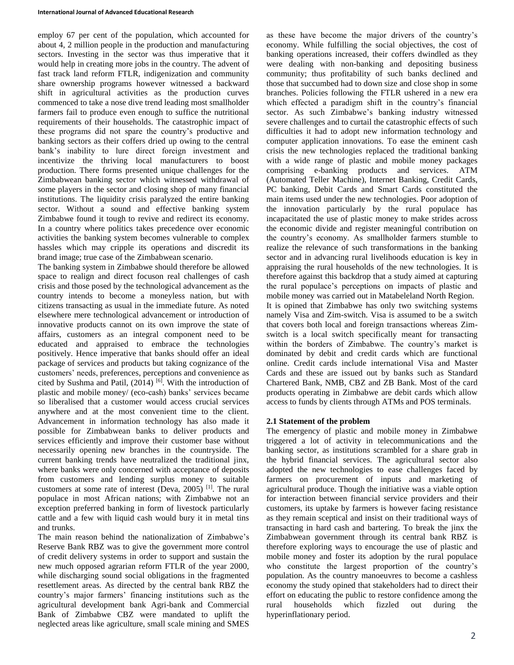employ 67 per cent of the population, which accounted for about 4, 2 million people in the production and manufacturing sectors. Investing in the sector was thus imperative that it would help in creating more jobs in the country. The advent of fast track land reform FTLR, indigenization and community share ownership programs however witnessed a backward shift in agricultural activities as the production curves commenced to take a nose dive trend leading most smallholder farmers fail to produce even enough to suffice the nutritional requirements of their households. The catastrophic impact of these programs did not spare the country's productive and banking sectors as their coffers dried up owing to the central bank's inability to lure direct foreign investment and incentivize the thriving local manufacturers to boost production. There forms presented unique challenges for the Zimbabwean banking sector which witnessed withdrawal of some players in the sector and closing shop of many financial institutions. The liquidity crisis paralyzed the entire banking sector. Without a sound and effective banking system Zimbabwe found it tough to revive and redirect its economy. In a country where politics takes precedence over economic activities the banking system becomes vulnerable to complex hassles which may cripple its operations and discredit its brand image; true case of the Zimbabwean scenario.

The banking system in Zimbabwe should therefore be allowed space to realign and direct focuson real challenges of cash crisis and those posed by the technological advancement as the country intends to become a moneyless nation, but with citizens transacting as usual in the immediate future. As noted elsewhere mere technological advancement or introduction of innovative products cannot on its own improve the state of affairs, customers as an integral component need to be educated and appraised to embrace the technologies positively. Hence imperative that banks should offer an ideal package of services and products but taking cognizance of the customers' needs, preferences, perceptions and convenience as cited by Sushma and Patil,  $(2014)$  [6]. With the introduction of plastic and mobile money/ (eco-cash) banks' services became so liberalised that a customer would access crucial services anywhere and at the most convenient time to the client. Advancement in information technology has also made it possible for Zimbabwean banks to deliver products and services efficiently and improve their customer base without necessarily opening new branches in the countryside. The current banking trends have neutralized the traditional jinx, where banks were only concerned with acceptance of deposits from customers and lending surplus money to suitable customers at some rate of interest (Deva, 2005)<sup>[1]</sup>. The rural populace in most African nations; with Zimbabwe not an exception preferred banking in form of livestock particularly cattle and a few with liquid cash would bury it in metal tins and trunks.

The main reason behind the nationalization of Zimbabwe's Reserve Bank RBZ was to give the government more control of credit delivery systems in order to support and sustain the new much opposed agrarian reform FTLR of the year 2000, while discharging sound social obligations in the fragmented resettlement areas. As directed by the central bank RBZ the country's major farmers' financing institutions such as the agricultural development bank Agri-bank and Commercial Bank of Zimbabwe CBZ were mandated to uplift the neglected areas like agriculture, small scale mining and SMES

as these have become the major drivers of the country's economy. While fulfilling the social objectives, the cost of banking operations increased, their coffers dwindled as they were dealing with non-banking and depositing business community; thus profitability of such banks declined and those that succumbed had to down size and close shop in some branches. Policies following the FTLR ushered in a new era which effected a paradigm shift in the country's financial sector. As such Zimbabwe's banking industry witnessed severe challenges and to curtail the catastrophic effects of such difficulties it had to adopt new information technology and computer application innovations. To ease the eminent cash crisis the new technologies replaced the traditional banking with a wide range of plastic and mobile money packages comprising e-banking products and services. ATM (Automated Teller Machine), Internet Banking, Credit Cards, PC banking, Debit Cards and Smart Cards constituted the main items used under the new technologies. Poor adoption of the innovation particularly by the rural populace has incapacitated the use of plastic money to make strides across the economic divide and register meaningful contribution on the country's economy. As smallholder farmers stumble to realize the relevance of such transformations in the banking sector and in advancing rural livelihoods education is key in appraising the rural households of the new technologies. It is therefore against this backdrop that a study aimed at capturing the rural populace's perceptions on impacts of plastic and mobile money was carried out in Matabeleland North Region. It is opined that Zimbabwe has only two switching systems namely Visa and Zim-switch. Visa is assumed to be a switch that covers both local and foreign transactions whereas Zimswitch is a local switch specifically meant for transacting within the borders of Zimbabwe. The country's market is dominated by debit and credit cards which are functional online. Credit cards include international Visa and Master Cards and these are issued out by banks such as Standard Chartered Bank, NMB, CBZ and ZB Bank. Most of the card products operating in Zimbabwe are debit cards which allow access to funds by clients through ATMs and POS terminals.

#### **2.1 Statement of the problem**

The emergency of plastic and mobile money in Zimbabwe triggered a lot of activity in telecommunications and the banking sector, as institutions scrambled for a share grab in the hybrid financial services. The agricultural sector also adopted the new technologies to ease challenges faced by farmers on procurement of inputs and marketing of agricultural produce. Though the initiative was a viable option for interaction between financial service providers and their customers, its uptake by farmers is however facing resistance as they remain sceptical and insist on their traditional ways of transacting in hard cash and bartering. To break the jinx the Zimbabwean government through its central bank RBZ is therefore exploring ways to encourage the use of plastic and mobile money and foster its adoption by the rural populace who constitute the largest proportion of the country's population. As the country manoeuvres to become a cashless economy the study opined that stakeholders had to direct their effort on educating the public to restore confidence among the rural households which fizzled out during the hyperinflationary period.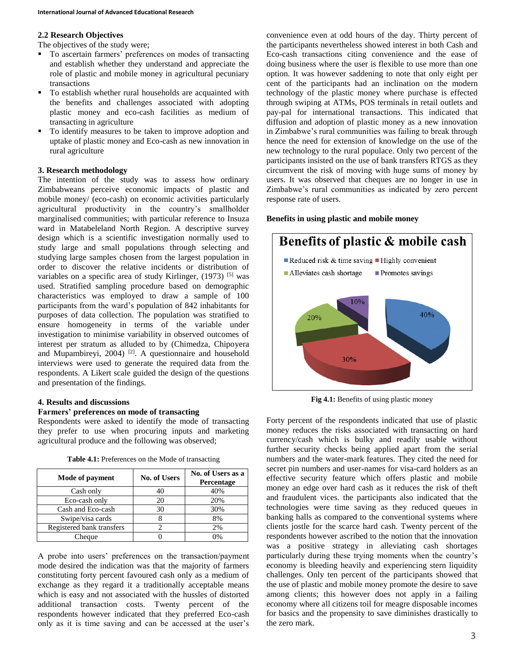#### **2.2 Research Objectives**

The objectives of the study were;

- To ascertain farmers' preferences on modes of transacting and establish whether they understand and appreciate the role of plastic and mobile money in agricultural pecuniary transactions
- To establish whether rural households are acquainted with the benefits and challenges associated with adopting plastic money and eco-cash facilities as medium of transacting in agriculture
- To identify measures to be taken to improve adoption and uptake of plastic money and Eco-cash as new innovation in rural agriculture

### **3. Research methodology**

The intention of the study was to assess how ordinary Zimbabweans perceive economic impacts of plastic and mobile money/ (eco-cash) on economic activities particularly agricultural productivity in the country's smallholder marginalised communities; with particular reference to Insuza ward in Matabeleland North Region. A descriptive survey design which is a scientific investigation normally used to study large and small populations through selecting and studying large samples chosen from the largest population in order to discover the relative incidents or distribution of variables on a specific area of study Kirlinger,  $(1973)$ <sup>[5]</sup> was used. Stratified sampling procedure based on demographic characteristics was employed to draw a sample of 100 participants from the ward's population of 842 inhabitants for purposes of data collection. The population was stratified to ensure homogeneity in terms of the variable under investigation to minimise variability in observed outcomes of interest per stratum as alluded to by (Chimedza, Chipoyera and Mupambireyi,  $2004$ <sup>[2]</sup>. A questionnaire and household interviews were used to generate the required data from the respondents. A Likert scale guided the design of the questions and presentation of the findings.

## **4. Results and discussions**

#### **Farmers' preferences on mode of transacting**

Respondents were asked to identify the mode of transacting they prefer to use when procuring inputs and marketing agricultural produce and the following was observed;

**Table 4.1:** Preferences on the Mode of transacting

| Mode of payment           | <b>No. of Users</b> | No. of Users as a<br><b>Percentage</b> |
|---------------------------|---------------------|----------------------------------------|
| Cash only                 |                     | 40%                                    |
| Eco-cash only             | 20                  | 20%                                    |
| Cash and Eco-cash         | 30                  | 30%                                    |
| Swipe/visa cards          |                     | 8%                                     |
| Registered bank transfers |                     | 2%                                     |
| Cheaue                    |                     | 0%                                     |

A probe into users' preferences on the transaction/payment mode desired the indication was that the majority of farmers constituting forty percent favoured cash only as a medium of exchange as they regard it a traditionally acceptable means which is easy and not associated with the hussles of distorted additional transaction costs. Twenty percent of the respondents however indicated that they preferred Eco-cash only as it is time saving and can be accessed at the user's

convenience even at odd hours of the day. Thirty percent of the participants nevertheless showed interest in both Cash and Eco-cash transactions citing convenience and the ease of doing business where the user is flexible to use more than one option. It was however saddening to note that only eight per cent of the participants had an inclination on the modern technology of the plastic money where purchase is effected through swiping at ATMs, POS terminals in retail outlets and pay-pal for international transactions. This indicated that diffusion and adoption of plastic money as a new innovation in Zimbabwe's rural communities was failing to break through hence the need for extension of knowledge on the use of the new technology to the rural populace. Only two percent of the participants insisted on the use of bank transfers RTGS as they circumvent the risk of moving with huge sums of money by users. It was observed that cheques are no longer in use in Zimbabwe's rural communities as indicated by zero percent response rate of users.

#### **Benefits in using plastic and mobile money**



**Fig 4.1:** Benefits of using plastic money

Forty percent of the respondents indicated that use of plastic money reduces the risks associated with transacting on hard currency/cash which is bulky and readily usable without further security checks being applied apart from the serial numbers and the water-mark features. They cited the need for secret pin numbers and user-names for visa-card holders as an effective security feature which offers plastic and mobile money an edge over hard cash as it reduces the risk of theft and fraudulent vices. the participants also indicated that the technologies were time saving as they reduced queues in banking halls as compared to the conventional systems where clients jostle for the scarce hard cash. Twenty percent of the respondents however ascribed to the notion that the innovation was a positive strategy in alleviating cash shortages particularly during these trying moments when the country's economy is bleeding heavily and experiencing stern liquidity challenges. Only ten percent of the participants showed that the use of plastic and mobile money promote the desire to save among clients; this however does not apply in a failing economy where all citizens toil for meagre disposable incomes for basics and the propensity to save diminishes drastically to the zero mark.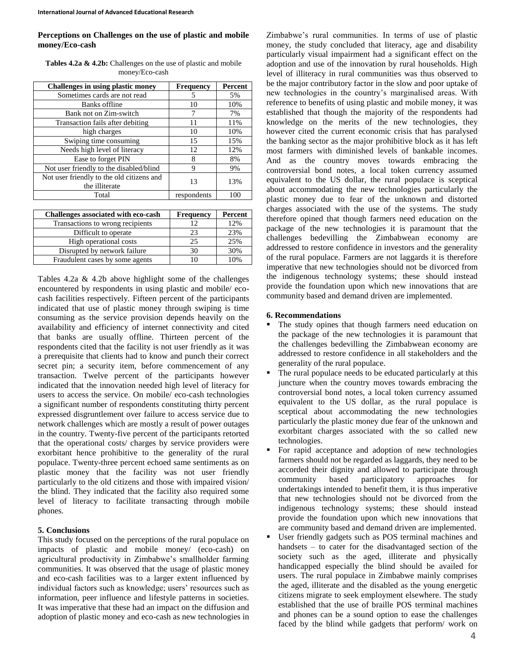## **Perceptions on Challenges on the use of plastic and mobile money/Eco-cash**

**Tables 4.2a & 4.2b:** Challenges on the use of plastic and mobile money/Eco-cash

| Challenges in using plastic money                           | Frequency   | Percent |
|-------------------------------------------------------------|-------------|---------|
| Sometimes cards are not read                                | 5           | 5%      |
| Banks offline                                               | 10          | 10%     |
| Bank not on Zim-switch                                      |             | 7%      |
| Transaction fails after debiting                            | 11          | 11%     |
| high charges                                                | 10          | 10%     |
| Swiping time consuming                                      | 15          | 15%     |
| Needs high level of literacy                                | 12          | 12%     |
| Ease to forget PIN                                          | 8           | 8%      |
| Not user friendly to the disabled/blind                     | 9           | 9%      |
| Not user friendly to the old citizens and<br>the illiterate | 13          | 13%     |
| Total                                                       | respondents | 100     |

| Challenges associated with eco-cash | <b>Frequency</b> | Percent |
|-------------------------------------|------------------|---------|
| Transactions to wrong recipients    |                  | 12%     |
| Difficult to operate                | 23               | 23%     |
| High operational costs              | 25               | 25%     |
| Disrupted by network failure        | 30               | 30%     |
| Fraudulent cases by some agents     |                  | 10%     |

Tables 4.2a & 4.2b above highlight some of the challenges encountered by respondents in using plastic and mobile/ ecocash facilities respectively. Fifteen percent of the participants indicated that use of plastic money through swiping is time consuming as the service provision depends heavily on the availability and efficiency of internet connectivity and cited that banks are usually offline. Thirteen percent of the respondents cited that the facility is not user friendly as it was a prerequisite that clients had to know and punch their correct secret pin; a security item, before commencement of any transaction. Twelve percent of the participants however indicated that the innovation needed high level of literacy for users to access the service. On mobile/ eco-cash technologies a significant number of respondents constituting thirty percent expressed disgruntlement over failure to access service due to network challenges which are mostly a result of power outages in the country. Twenty-five percent of the participants retorted that the operational costs/ charges by service providers were exorbitant hence prohibitive to the generality of the rural populace. Twenty-three percent echoed same sentiments as on plastic money that the facility was not user friendly particularly to the old citizens and those with impaired vision/ the blind. They indicated that the facility also required some level of literacy to facilitate transacting through mobile phones.

## **5. Conclusions**

This study focused on the perceptions of the rural populace on impacts of plastic and mobile money/ (eco-cash) on agricultural productivity in Zimbabwe's smallholder farming communities. It was observed that the usage of plastic money and eco-cash facilities was to a larger extent influenced by individual factors such as knowledge; users' resources such as information, peer influence and lifestyle patterns in societies. It was imperative that these had an impact on the diffusion and adoption of plastic money and eco-cash as new technologies in

Zimbabwe's rural communities. In terms of use of plastic money, the study concluded that literacy, age and disability particularly visual impairment had a significant effect on the adoption and use of the innovation by rural households. High level of illiteracy in rural communities was thus observed to be the major contributory factor in the slow and poor uptake of new technologies in the country's marginalised areas. With reference to benefits of using plastic and mobile money, it was established that though the majority of the respondents had knowledge on the merits of the new technologies, they however cited the current economic crisis that has paralysed the banking sector as the major prohibitive block as it has left most farmers with diminished levels of bankable incomes. And as the country moves towards embracing the controversial bond notes, a local token currency assumed equivalent to the US dollar, the rural populace is sceptical about accommodating the new technologies particularly the plastic money due to fear of the unknown and distorted charges associated with the use of the systems. The study therefore opined that though farmers need education on the package of the new technologies it is paramount that the challenges bedevilling the Zimbabwean economy are addressed to restore confidence in investors and the generality of the rural populace. Farmers are not laggards it is therefore imperative that new technologies should not be divorced from the indigenous technology systems; these should instead provide the foundation upon which new innovations that are community based and demand driven are implemented.

## **6. Recommendations**

- The study opines that though farmers need education on the package of the new technologies it is paramount that the challenges bedevilling the Zimbabwean economy are addressed to restore confidence in all stakeholders and the generality of the rural populace.
- The rural populace needs to be educated particularly at this juncture when the country moves towards embracing the controversial bond notes, a local token currency assumed equivalent to the US dollar, as the rural populace is sceptical about accommodating the new technologies particularly the plastic money due fear of the unknown and exorbitant charges associated with the so called new technologies.
- For rapid acceptance and adoption of new technologies farmers should not be regarded as laggards, they need to be accorded their dignity and allowed to participate through community based participatory approaches for undertakings intended to benefit them, it is thus imperative that new technologies should not be divorced from the indigenous technology systems; these should instead provide the foundation upon which new innovations that are community based and demand driven are implemented.
- User friendly gadgets such as POS terminal machines and handsets – to cater for the disadvantaged section of the society such as the aged, illiterate and physically handicapped especially the blind should be availed for users. The rural populace in Zimbabwe mainly comprises the aged, illiterate and the disabled as the young energetic citizens migrate to seek employment elsewhere. The study established that the use of braille POS terminal machines and phones can be a sound option to ease the challenges faced by the blind while gadgets that perform/ work on